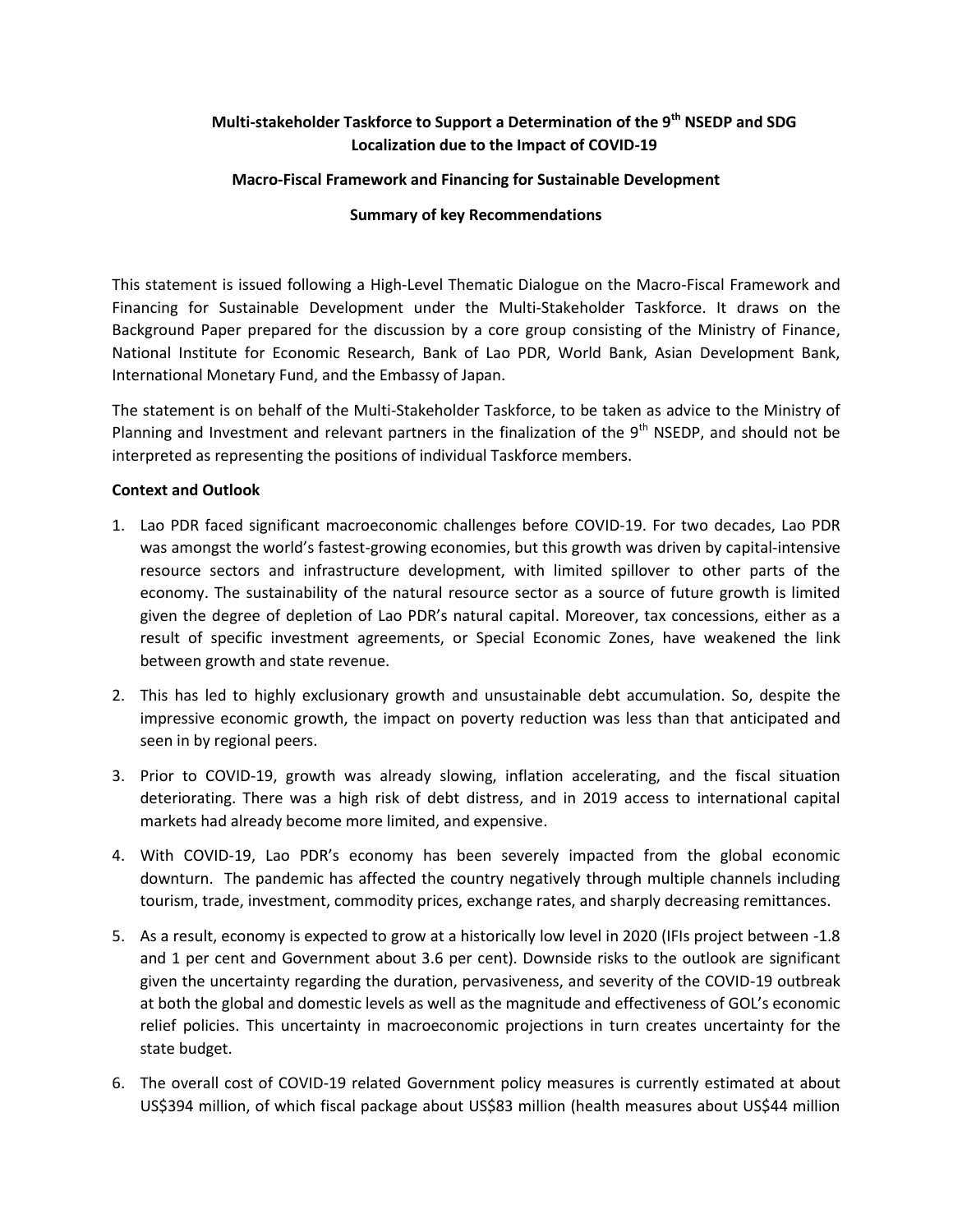# **Multi-stakeholder Taskforce to Support a Determination of the 9th NSEDP and SDG Localization due to the Impact of COVID-19**

# **Macro-Fiscal Framework and Financing for Sustainable Development**

### **Summary of key Recommendations**

This statement is issued following a High-Level Thematic Dialogue on the Macro-Fiscal Framework and Financing for Sustainable Development under the Multi-Stakeholder Taskforce. It draws on the Background Paper prepared for the discussion by a core group consisting of the Ministry of Finance, National Institute for Economic Research, Bank of Lao PDR, World Bank, Asian Development Bank, International Monetary Fund, and the Embassy of Japan.

The statement is on behalf of the Multi-Stakeholder Taskforce, to be taken as advice to the Ministry of Planning and Investment and relevant partners in the finalization of the  $9<sup>th</sup>$  NSEDP, and should not be interpreted as representing the positions of individual Taskforce members.

#### **Context and Outlook**

- 1. Lao PDR faced significant macroeconomic challenges before COVID-19. For two decades, Lao PDR was amongst the world's fastest-growing economies, but this growth was driven by capital-intensive resource sectors and infrastructure development, with limited spillover to other parts of the economy. The sustainability of the natural resource sector as a source of future growth is limited given the degree of depletion of Lao PDR's natural capital. Moreover, tax concessions, either as a result of specific investment agreements, or Special Economic Zones, have weakened the link between growth and state revenue.
- 2. This has led to highly exclusionary growth and unsustainable debt accumulation. So, despite the impressive economic growth, the impact on poverty reduction was less than that anticipated and seen in by regional peers.
- 3. Prior to COVID-19, growth was already slowing, inflation accelerating, and the fiscal situation deteriorating. There was a high risk of debt distress, and in 2019 access to international capital markets had already become more limited, and expensive.
- 4. With COVID-19, Lao PDR's economy has been severely impacted from the global economic downturn. The pandemic has affected the country negatively through multiple channels including tourism, trade, investment, commodity prices, exchange rates, and sharply decreasing remittances.
- 5. As a result, economy is expected to grow at a historically low level in 2020 (IFIs project between -1.8 and 1 per cent and Government about 3.6 per cent). Downside risks to the outlook are significant given the uncertainty regarding the duration, pervasiveness, and severity of the COVID-19 outbreak at both the global and domestic levels as well as the magnitude and effectiveness of GOL's economic relief policies. This uncertainty in macroeconomic projections in turn creates uncertainty for the state budget.
- 6. The overall cost of COVID-19 related Government policy measures is currently estimated at about US\$394 million, of which fiscal package about US\$83 million (health measures about US\$44 million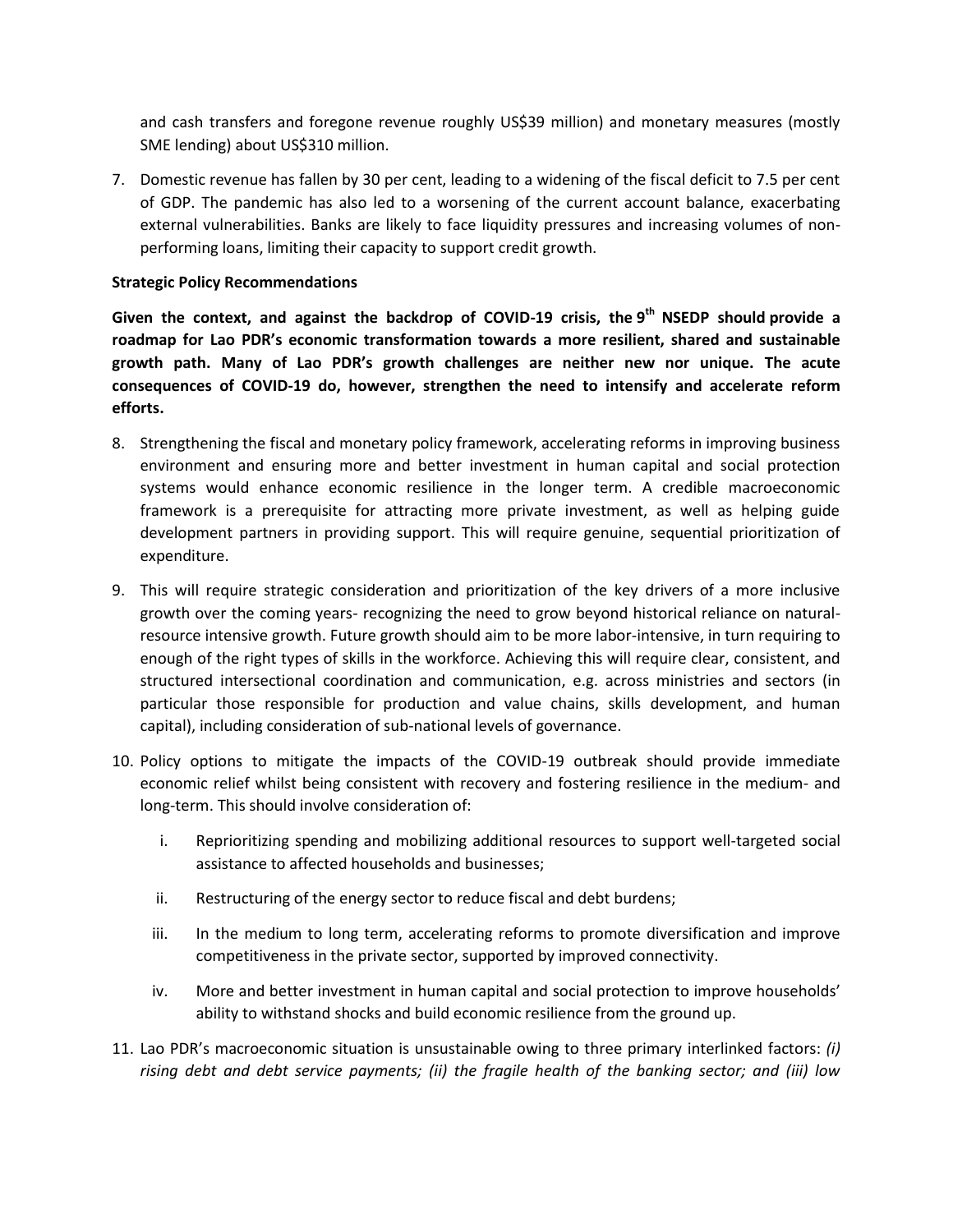and cash transfers and foregone revenue roughly US\$39 million) and monetary measures (mostly SME lending) about US\$310 million.

7. Domestic revenue has fallen by 30 per cent, leading to a widening of the fiscal deficit to 7.5 per cent of GDP. The pandemic has also led to a worsening of the current account balance, exacerbating external vulnerabilities. Banks are likely to face liquidity pressures and increasing volumes of nonperforming loans, limiting their capacity to support credit growth.

# **Strategic Policy Recommendations**

**Given the context, and against the backdrop of COVID-19 crisis, the 9 th NSEDP should provide a roadmap for Lao PDR's economic transformation towards a more resilient, shared and sustainable growth path. Many of Lao PDR's growth challenges are neither new nor unique. The acute consequences of COVID-19 do, however, strengthen the need to intensify and accelerate reform efforts.**

- 8. Strengthening the fiscal and monetary policy framework, accelerating reforms in improving business environment and ensuring more and better investment in human capital and social protection systems would enhance economic resilience in the longer term. A credible macroeconomic framework is a prerequisite for attracting more private investment, as well as helping guide development partners in providing support. This will require genuine, sequential prioritization of expenditure.
- 9. This will require strategic consideration and prioritization of the key drivers of a more inclusive growth over the coming years- recognizing the need to grow beyond historical reliance on naturalresource intensive growth. Future growth should aim to be more labor-intensive, in turn requiring to enough of the right types of skills in the workforce. Achieving this will require clear, consistent, and structured intersectional coordination and communication, e.g. across ministries and sectors (in particular those responsible for production and value chains, skills development, and human capital), including consideration of sub-national levels of governance.
- 10. Policy options to mitigate the impacts of the COVID-19 outbreak should provide immediate economic relief whilst being consistent with recovery and fostering resilience in the medium- and long-term. This should involve consideration of:
	- i. Reprioritizing spending and mobilizing additional resources to support well-targeted social assistance to affected households and businesses;
	- ii. Restructuring of the energy sector to reduce fiscal and debt burdens;
	- iii. In the medium to long term, accelerating reforms to promote diversification and improve competitiveness in the private sector, supported by improved connectivity.
	- iv. More and better investment in human capital and social protection to improve households' ability to withstand shocks and build economic resilience from the ground up.
- 11. Lao PDR's macroeconomic situation is unsustainable owing to three primary interlinked factors: *(i) rising debt and debt service payments; (ii) the fragile health of the banking sector; and (iii) low*